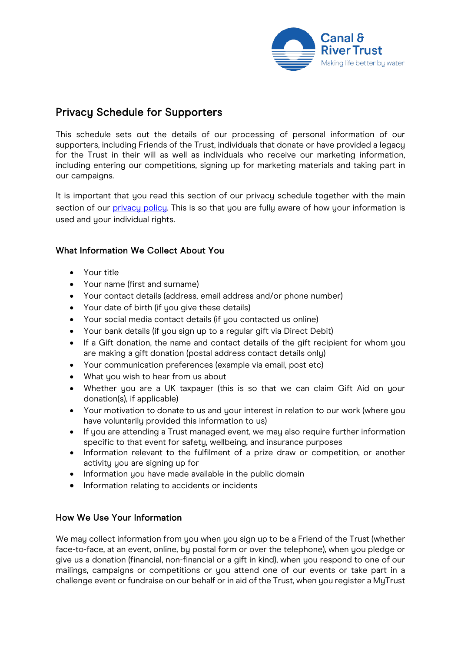

# Privacy Schedule for Supporters

This schedule sets out the details of our processing of personal information of our supporters, including Friends of the Trust, individuals that donate or have provided a legacy for the Trust in their will as well as individuals who receive our marketing information, including entering our competitions, signing up for marketing materials and taking part in our campaigns.

It is important that you read this section of our privacy schedule together with the main section of our [privacy policy.](https://canalrivertrust.org.uk/cookie-and-privacy-policy) This is so that you are fully aware of how your information is used and your individual rights.

## What Information We Collect About You

- Your title
- Your name (first and surname)
- Your contact details (address, email address and/or phone number)
- Your date of birth (if you give these details)
- Your social media contact details (if you contacted us online)
- Your bank details (if you sign up to a regular gift via Direct Debit)
- If a Gift donation, the name and contact details of the gift recipient for whom you are making a gift donation (postal address contact details only)
- Your communication preferences (example via email, post etc)
- What you wish to hear from us about
- Whether you are a UK taxpayer (this is so that we can claim Gift Aid on your donation(s), if applicable)
- Your motivation to donate to us and your interest in relation to our work (where you have voluntarily provided this information to us)
- If you are attending a Trust managed event, we may also require further information specific to that event for safety, wellbeing, and insurance purposes
- Information relevant to the fulfilment of a prize draw or competition, or another activity you are signing up for
- Information you have made available in the public domain
- Information relating to accidents or incidents

## How We Use Your Information

We may collect information from you when you sign up to be a Friend of the Trust (whether face-to-face, at an event, online, by postal form or over the telephone), when you pledge or give us a donation (financial, non-financial or a gift in kind), when you respond to one of our mailings, campaigns or competitions or you attend one of our events or take part in a challenge event or fundraise on our behalf or in aid of the Trust, when you register a MuTrust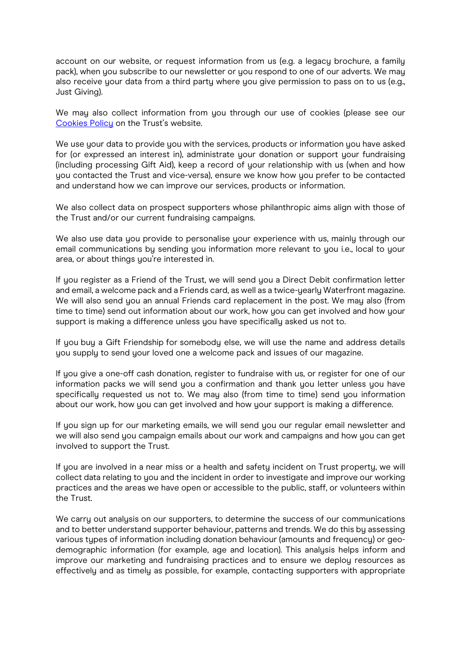account on our website, or request information from us (e.g. a legacy brochure, a family pack), when you subscribe to our newsletter or you respond to one of our adverts. We may also receive your data from a third party where you give permission to pass on to us (e.g., Just Giving).

We may also collect information from you through our use of cookies (please see our [Cookies Policy](https://canalrivertrust.org.uk/cookie-and-privacy-policy/cookies-privacy-schedule) on the Trust's website.

We use your data to provide you with the services, products or information you have asked for (or expressed an interest in), administrate your donation or support your fundraising (including processing Gift Aid), keep a record of your relationship with us (when and how you contacted the Trust and vice-versa), ensure we know how you prefer to be contacted and understand how we can improve our services, products or information.

We also collect data on prospect supporters whose philanthropic aims align with those of the Trust and/or our current fundraising campaigns.

We also use data you provide to personalise your experience with us, mainly through our email communications by sending you information more relevant to you i.e., local to your area, or about things you're interested in.

If you register as a Friend of the Trust, we will send you a Direct Debit confirmation letter and email, a welcome pack and a Friends card, as well as a twice-yearly Waterfront magazine. We will also send you an annual Friends card replacement in the post. We may also (from time to time) send out information about our work, how you can get involved and how your support is making a difference unless you have specifically asked us not to.

If you buy a Gift Friendship for somebody else, we will use the name and address details you supply to send your loved one a welcome pack and issues of our magazine.

If you give a one-off cash donation, register to fundraise with us, or register for one of our information packs we will send you a confirmation and thank you letter unless you have specifically requested us not to. We may also (from time to time) send you information about our work, how you can get involved and how your support is making a difference.

If you sign up for our marketing emails, we will send you our regular email newsletter and we will also send you campaign emails about our work and campaigns and how you can get involved to support the Trust.

If you are involved in a near miss or a health and safety incident on Trust property, we will collect data relating to you and the incident in order to investigate and improve our working practices and the areas we have open or accessible to the public, staff, or volunteers within the Trust.

We carry out analysis on our supporters, to determine the success of our communications and to better understand supporter behaviour, patterns and trends. We do this by assessing various types of information including donation behaviour (amounts and frequency) or geodemographic information (for example, age and location). This analysis helps inform and improve our marketing and fundraising practices and to ensure we deploy resources as effectively and as timely as possible, for example, contacting supporters with appropriate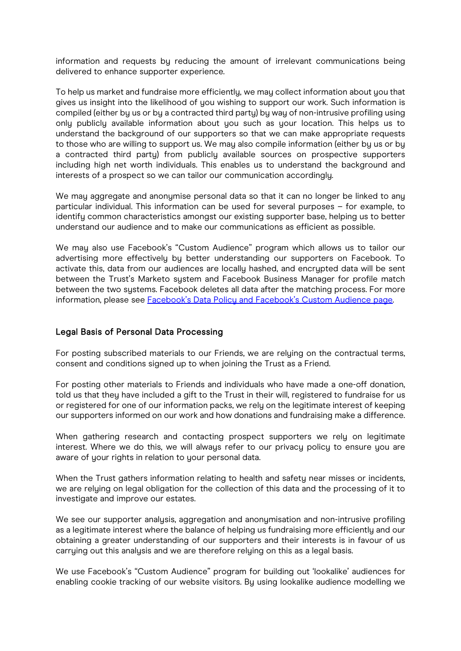information and requests by reducing the amount of irrelevant communications being delivered to enhance supporter experience.

To help us market and fundraise more efficiently, we may collect information about you that gives us insight into the likelihood of you wishing to support our work. Such information is compiled (either by us or by a contracted third party) by way of non-intrusive profiling using only publicly available information about you such as your location. This helps us to understand the background of our supporters so that we can make appropriate requests to those who are willing to support us. We may also compile information (either by us or by a contracted third party) from publicly available sources on prospective supporters including high net worth individuals. This enables us to understand the background and interests of a prospect so we can tailor our communication accordingly.

We may aggregate and anonymise personal data so that it can no longer be linked to any particular individual. This information can be used for several purposes – for example, to identify common characteristics amongst our existing supporter base, helping us to better understand our audience and to make our communications as efficient as possible.

We may also use Facebook's "Custom Audience" program which allows us to tailor our advertising more effectively by better understanding our supporters on Facebook. To activate this, data from our audiences are locallu hashed, and encrupted data will be sent between the Trust's Marketo system and Facebook Business Manager for profile match between the two systems. Facebook deletes all data after the matching process. For more information, please see **Facebook's Data Policy and Facebook's Custom Audience page**.

## Legal Basis of Personal Data Processing

For posting subscribed materials to our Friends, we are relying on the contractual terms, consent and conditions signed up to when joining the Trust as a Friend.

For posting other materials to Friends and individuals who have made a one-off donation, told us that they have included a gift to the Trust in their will, registered to fundraise for us or registered for one of our information packs, we rely on the legitimate interest of keeping our supporters informed on our work and how donations and fundraising make a difference.

When gathering research and contacting prospect supporters we rely on legitimate interest. Where we do this, we will always refer to our privacy policy to ensure you are aware of your rights in relation to your personal data.

When the Trust gathers information relating to health and safety near misses or incidents, we are relying on legal obligation for the collection of this data and the processing of it to investigate and improve our estates.

We see our supporter analysis, aggregation and anonymisation and non-intrusive profiling as a legitimate interest where the balance of helping us fundraising more efficiently and our obtaining a greater understanding of our supporters and their interests is in favour of us carrying out this analysis and we are therefore relying on this as a legal basis.

We use Facebook's "Custom Audience" program for building out 'lookalike' audiences for enabling cookie tracking of our website visitors. By using lookalike audience modelling we